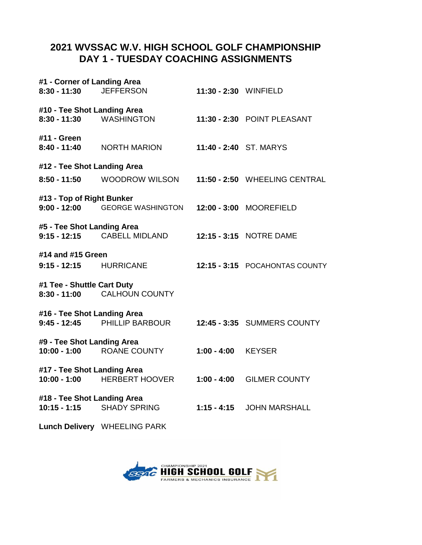## **DAY 1 - TUESDAY COACHING ASSIGNMENTS 2021 WVSSAC W.V. HIGH SCHOOL GOLF CHAMPIONSHIP**

| #1 - Corner of Landing Area                   |                                |                        |                                |  |
|-----------------------------------------------|--------------------------------|------------------------|--------------------------------|--|
| $8:30 - 11:30$                                | <b>JEFFERSON</b>               | 11:30 - 2:30 WINFIELD  |                                |  |
| #10 - Tee Shot Landing Area<br>$8:30 - 11:30$ | <b>WASHINGTON</b>              |                        | 11:30 - 2:30 POINT PLEASANT    |  |
| #11 - Green<br>$8:40 - 11:40$                 | <b>NORTH MARION</b>            | 11:40 - 2:40 ST. MARYS |                                |  |
| #12 - Tee Shot Landing Area                   |                                |                        |                                |  |
| $8:50 - 11:50$                                | <b>WOODROW WILSON</b>          |                        | 11:50 - 2:50 WHEELING CENTRAL  |  |
| #13 - Top of Right Bunker                     | 9:00 - 12:00 GEORGE WASHINGTON |                        | 12:00 - 3:00 MOOREFIELD        |  |
| #5 - Tee Shot Landing Area<br>$9:15 - 12:15$  | <b>CABELL MIDLAND</b>          |                        | 12:15 - 3:15 NOTRE DAME        |  |
| #14 and #15 Green<br>9:15 - 12:15 HURRICANE   |                                |                        | 12:15 - 3:15 POCAHONTAS COUNTY |  |
| #1 Tee - Shuttle Cart Duty<br>$8:30 - 11:00$  | <b>CALHOUN COUNTY</b>          |                        |                                |  |
| #16 - Tee Shot Landing Area                   | 9:45 - 12:45 PHILLIP BARBOUR   |                        | 12:45 - 3:35 SUMMERS COUNTY    |  |
| #9 - Tee Shot Landing Area                    | 10:00 - 1:00 ROANE COUNTY      | $1:00 - 4:00$          | <b>KEYSER</b>                  |  |
| #17 - Tee Shot Landing Area<br>$10:00 - 1:00$ | <b>HERBERT HOOVER</b>          | $1:00 - 4:00$          | <b>GILMER COUNTY</b>           |  |
| #18 - Tee Shot Landing Area<br>$10:15 - 1:15$ | <b>SHADY SPRING</b>            | $1:15 - 4:15$          | <b>JOHN MARSHALL</b>           |  |
|                                               | Lunch Delivery WHEELING PARK   |                        |                                |  |